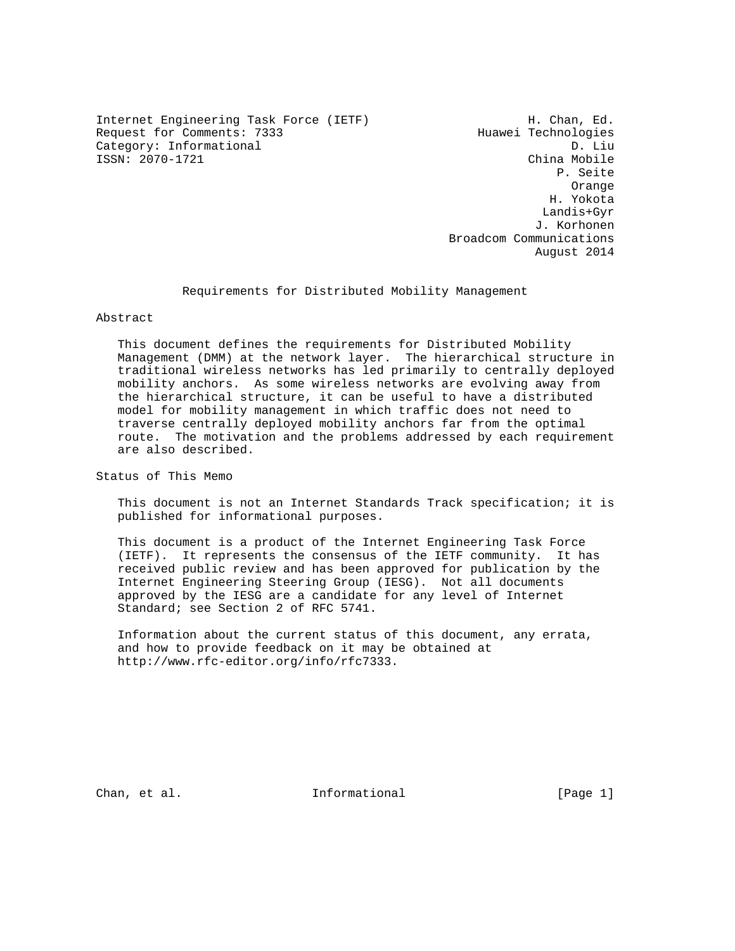Internet Engineering Task Force (IETF) 11 MH. Chan, Ed.<br>Request for Comments: 7333 Huawei Technologies Request for Comments: 7333 Category: Informational D. Liu<br>ISSN: 2070-1721 China Mobile ISSN: 2070-1721

 P. Seite Orange H. Yokota Landis+Gyr J. Korhonen Broadcom Communications August 2014

Requirements for Distributed Mobility Management

Abstract

 This document defines the requirements for Distributed Mobility Management (DMM) at the network layer. The hierarchical structure in traditional wireless networks has led primarily to centrally deployed mobility anchors. As some wireless networks are evolving away from the hierarchical structure, it can be useful to have a distributed model for mobility management in which traffic does not need to traverse centrally deployed mobility anchors far from the optimal route. The motivation and the problems addressed by each requirement are also described.

Status of This Memo

 This document is not an Internet Standards Track specification; it is published for informational purposes.

 This document is a product of the Internet Engineering Task Force (IETF). It represents the consensus of the IETF community. It has received public review and has been approved for publication by the Internet Engineering Steering Group (IESG). Not all documents approved by the IESG are a candidate for any level of Internet Standard; see Section 2 of RFC 5741.

 Information about the current status of this document, any errata, and how to provide feedback on it may be obtained at http://www.rfc-editor.org/info/rfc7333.

Chan, et al. The Informational The Informational (Page 1)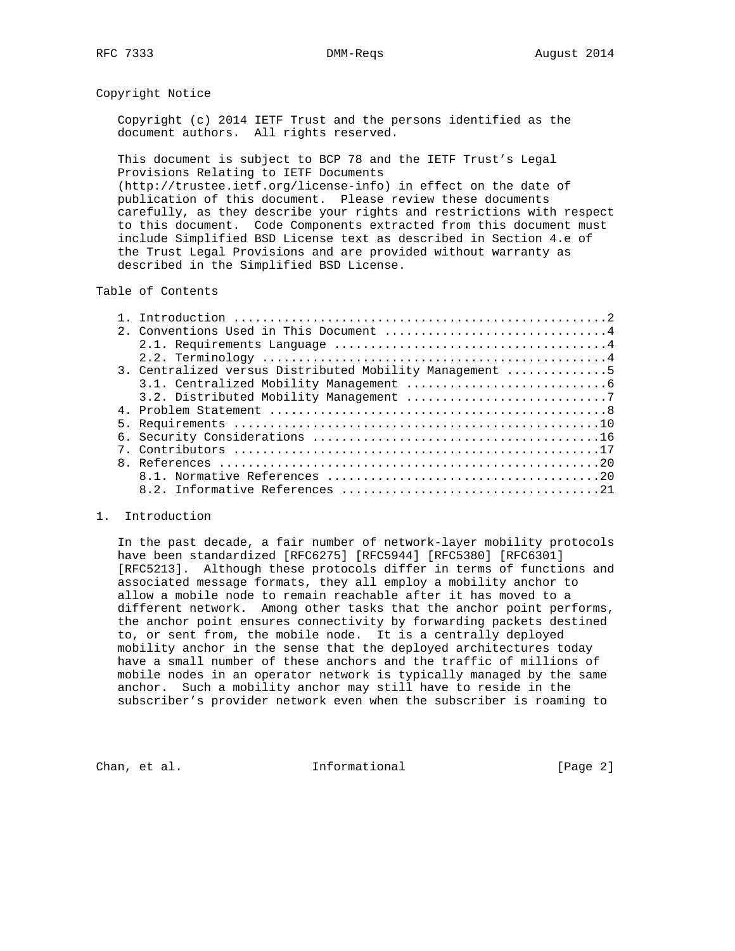# Copyright Notice

 Copyright (c) 2014 IETF Trust and the persons identified as the document authors. All rights reserved.

 This document is subject to BCP 78 and the IETF Trust's Legal Provisions Relating to IETF Documents

 (http://trustee.ietf.org/license-info) in effect on the date of publication of this document. Please review these documents carefully, as they describe your rights and restrictions with respect to this document. Code Components extracted from this document must include Simplified BSD License text as described in Section 4.e of the Trust Legal Provisions and are provided without warranty as described in the Simplified BSD License.

# Table of Contents

| 3. Centralized versus Distributed Mobility Management 5 |
|---------------------------------------------------------|
|                                                         |
|                                                         |
|                                                         |
|                                                         |
|                                                         |
|                                                         |
|                                                         |
|                                                         |
|                                                         |
|                                                         |

## 1. Introduction

 In the past decade, a fair number of network-layer mobility protocols have been standardized [RFC6275] [RFC5944] [RFC5380] [RFC6301] [RFC5213]. Although these protocols differ in terms of functions and associated message formats, they all employ a mobility anchor to allow a mobile node to remain reachable after it has moved to a different network. Among other tasks that the anchor point performs, the anchor point ensures connectivity by forwarding packets destined to, or sent from, the mobile node. It is a centrally deployed mobility anchor in the sense that the deployed architectures today have a small number of these anchors and the traffic of millions of mobile nodes in an operator network is typically managed by the same anchor. Such a mobility anchor may still have to reside in the subscriber's provider network even when the subscriber is roaming to

Chan, et al. The informational the change of the contract of the contract of the change of the contract of the contract of the contract of the contract of the contract of the contract of the contract of the contract of the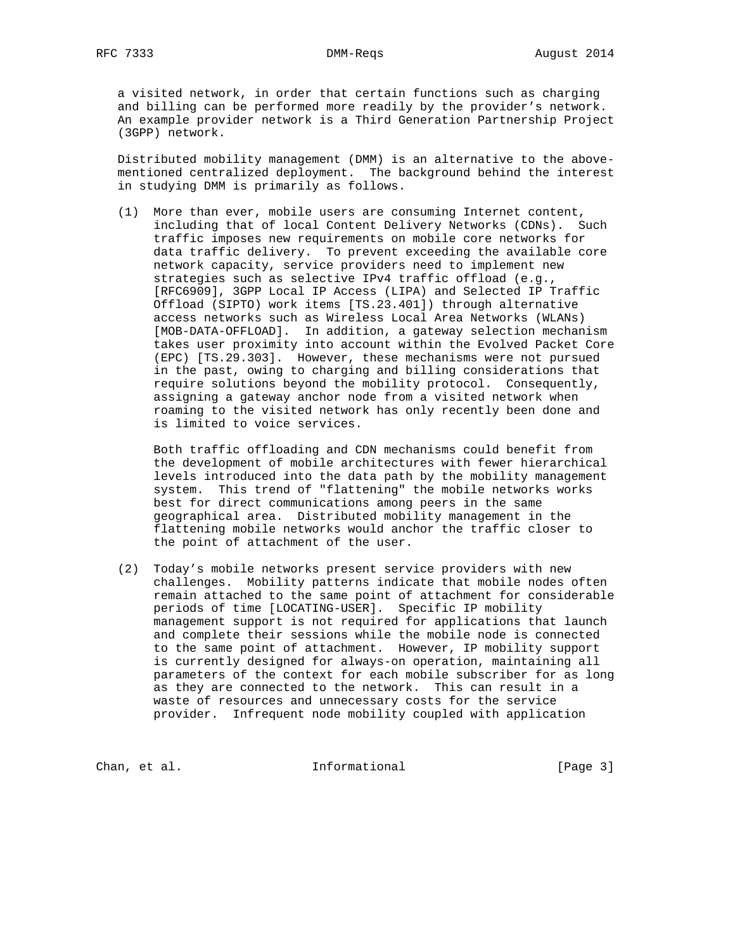a visited network, in order that certain functions such as charging and billing can be performed more readily by the provider's network. An example provider network is a Third Generation Partnership Project (3GPP) network.

 Distributed mobility management (DMM) is an alternative to the above mentioned centralized deployment. The background behind the interest in studying DMM is primarily as follows.

 (1) More than ever, mobile users are consuming Internet content, including that of local Content Delivery Networks (CDNs). Such traffic imposes new requirements on mobile core networks for data traffic delivery. To prevent exceeding the available core network capacity, service providers need to implement new strategies such as selective IPv4 traffic offload (e.g., [RFC6909], 3GPP Local IP Access (LIPA) and Selected IP Traffic Offload (SIPTO) work items [TS.23.401]) through alternative access networks such as Wireless Local Area Networks (WLANs) [MOB-DATA-OFFLOAD]. In addition, a gateway selection mechanism takes user proximity into account within the Evolved Packet Core (EPC) [TS.29.303]. However, these mechanisms were not pursued in the past, owing to charging and billing considerations that require solutions beyond the mobility protocol. Consequently, assigning a gateway anchor node from a visited network when roaming to the visited network has only recently been done and is limited to voice services.

 Both traffic offloading and CDN mechanisms could benefit from the development of mobile architectures with fewer hierarchical levels introduced into the data path by the mobility management system. This trend of "flattening" the mobile networks works best for direct communications among peers in the same geographical area. Distributed mobility management in the flattening mobile networks would anchor the traffic closer to the point of attachment of the user.

 (2) Today's mobile networks present service providers with new challenges. Mobility patterns indicate that mobile nodes often remain attached to the same point of attachment for considerable periods of time [LOCATING-USER]. Specific IP mobility management support is not required for applications that launch and complete their sessions while the mobile node is connected to the same point of attachment. However, IP mobility support is currently designed for always-on operation, maintaining all parameters of the context for each mobile subscriber for as long as they are connected to the network. This can result in a waste of resources and unnecessary costs for the service provider. Infrequent node mobility coupled with application

Chan, et al. The informational the change of the change of the change of the change of the change of the change of the change of the change of the change of the change of the change of the change of the change of the chang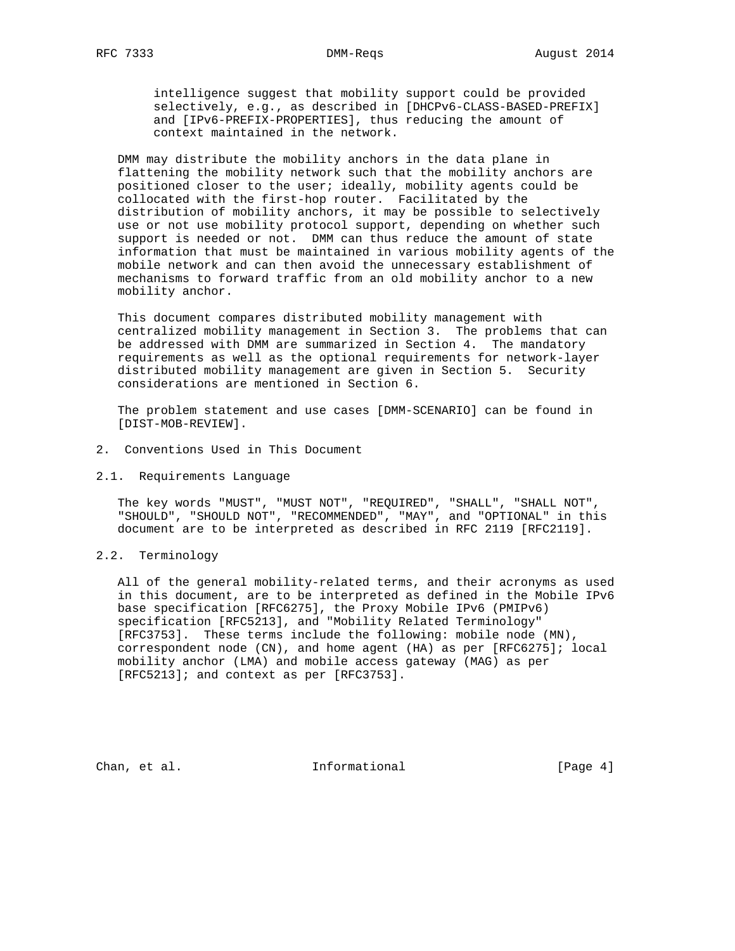intelligence suggest that mobility support could be provided selectively, e.g., as described in [DHCPv6-CLASS-BASED-PREFIX] and [IPv6-PREFIX-PROPERTIES], thus reducing the amount of context maintained in the network.

 DMM may distribute the mobility anchors in the data plane in flattening the mobility network such that the mobility anchors are positioned closer to the user; ideally, mobility agents could be collocated with the first-hop router. Facilitated by the distribution of mobility anchors, it may be possible to selectively use or not use mobility protocol support, depending on whether such support is needed or not. DMM can thus reduce the amount of state information that must be maintained in various mobility agents of the mobile network and can then avoid the unnecessary establishment of mechanisms to forward traffic from an old mobility anchor to a new mobility anchor.

 This document compares distributed mobility management with centralized mobility management in Section 3. The problems that can be addressed with DMM are summarized in Section 4. The mandatory requirements as well as the optional requirements for network-layer distributed mobility management are given in Section 5. Security considerations are mentioned in Section 6.

 The problem statement and use cases [DMM-SCENARIO] can be found in [DIST-MOB-REVIEW].

- 2. Conventions Used in This Document
- 2.1. Requirements Language

 The key words "MUST", "MUST NOT", "REQUIRED", "SHALL", "SHALL NOT", "SHOULD", "SHOULD NOT", "RECOMMENDED", "MAY", and "OPTIONAL" in this document are to be interpreted as described in RFC 2119 [RFC2119].

## 2.2. Terminology

 All of the general mobility-related terms, and their acronyms as used in this document, are to be interpreted as defined in the Mobile IPv6 base specification [RFC6275], the Proxy Mobile IPv6 (PMIPv6) specification [RFC5213], and "Mobility Related Terminology" [RFC3753]. These terms include the following: mobile node (MN), correspondent node (CN), and home agent (HA) as per [RFC6275]; local mobility anchor (LMA) and mobile access gateway (MAG) as per [RFC5213]; and context as per [RFC3753].

Chan, et al. 100 mm informational 100 mm informational [Page 4]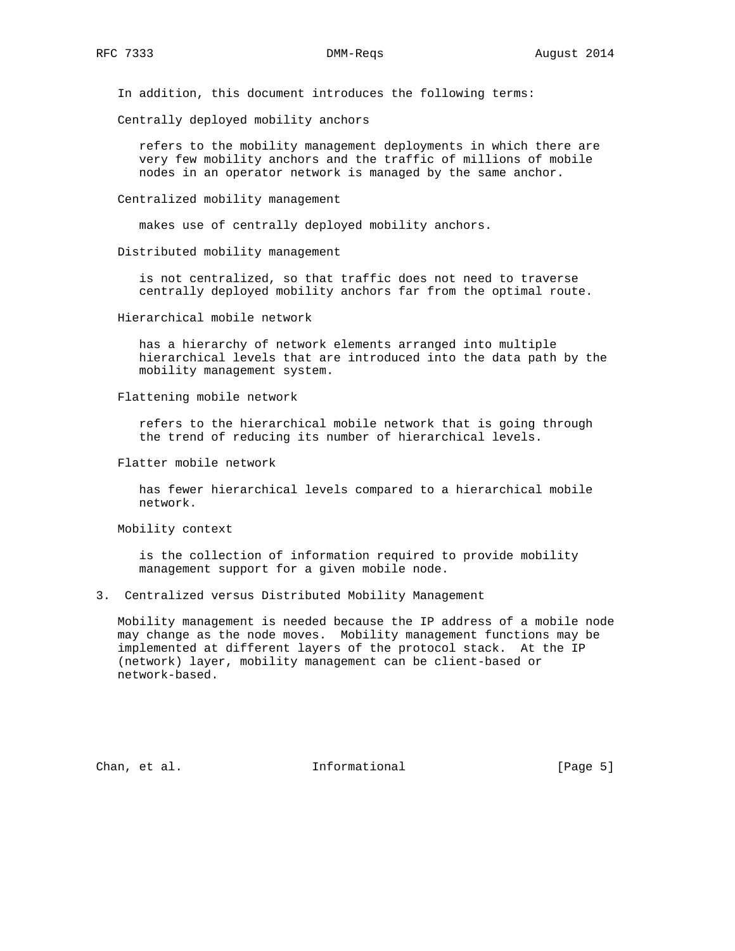In addition, this document introduces the following terms:

Centrally deployed mobility anchors

 refers to the mobility management deployments in which there are very few mobility anchors and the traffic of millions of mobile nodes in an operator network is managed by the same anchor.

Centralized mobility management

makes use of centrally deployed mobility anchors.

Distributed mobility management

 is not centralized, so that traffic does not need to traverse centrally deployed mobility anchors far from the optimal route.

Hierarchical mobile network

 has a hierarchy of network elements arranged into multiple hierarchical levels that are introduced into the data path by the mobility management system.

Flattening mobile network

 refers to the hierarchical mobile network that is going through the trend of reducing its number of hierarchical levels.

Flatter mobile network

 has fewer hierarchical levels compared to a hierarchical mobile network.

Mobility context

 is the collection of information required to provide mobility management support for a given mobile node.

3. Centralized versus Distributed Mobility Management

 Mobility management is needed because the IP address of a mobile node may change as the node moves. Mobility management functions may be implemented at different layers of the protocol stack. At the IP (network) layer, mobility management can be client-based or network-based.

Chan, et al. 100 mm and 111 mm and 111 mm and 12 mm and 12 mm and 12 mm and 12 mm and 12 mm and 12 mm and 12 mm and 12 mm and 12 mm and 12 mm and 12 mm and 12 mm and 12 mm and 12 mm and 12 mm and 12 mm and 12 mm and 12 mm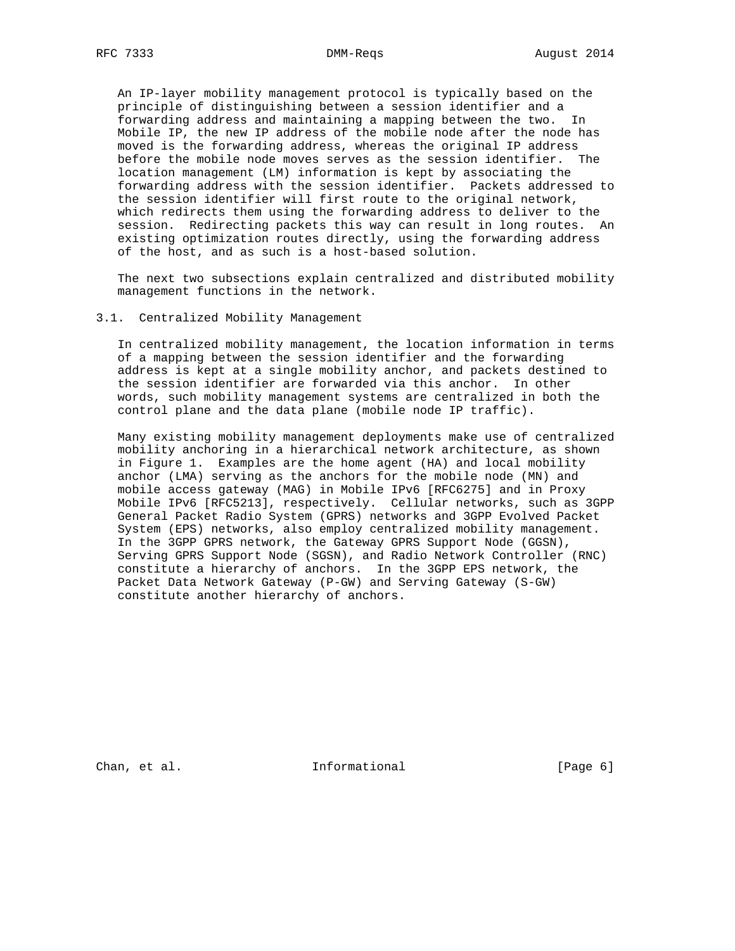An IP-layer mobility management protocol is typically based on the principle of distinguishing between a session identifier and a forwarding address and maintaining a mapping between the two. In Mobile IP, the new IP address of the mobile node after the node has moved is the forwarding address, whereas the original IP address before the mobile node moves serves as the session identifier. The location management (LM) information is kept by associating the forwarding address with the session identifier. Packets addressed to the session identifier will first route to the original network, which redirects them using the forwarding address to deliver to the session. Redirecting packets this way can result in long routes. An existing optimization routes directly, using the forwarding address of the host, and as such is a host-based solution.

 The next two subsections explain centralized and distributed mobility management functions in the network.

## 3.1. Centralized Mobility Management

 In centralized mobility management, the location information in terms of a mapping between the session identifier and the forwarding address is kept at a single mobility anchor, and packets destined to the session identifier are forwarded via this anchor. In other words, such mobility management systems are centralized in both the control plane and the data plane (mobile node IP traffic).

 Many existing mobility management deployments make use of centralized mobility anchoring in a hierarchical network architecture, as shown in Figure 1. Examples are the home agent (HA) and local mobility anchor (LMA) serving as the anchors for the mobile node (MN) and mobile access gateway (MAG) in Mobile IPv6 [RFC6275] and in Proxy Mobile IPv6 [RFC5213], respectively. Cellular networks, such as 3GPP General Packet Radio System (GPRS) networks and 3GPP Evolved Packet System (EPS) networks, also employ centralized mobility management. In the 3GPP GPRS network, the Gateway GPRS Support Node (GGSN), Serving GPRS Support Node (SGSN), and Radio Network Controller (RNC) constitute a hierarchy of anchors. In the 3GPP EPS network, the Packet Data Network Gateway (P-GW) and Serving Gateway (S-GW) constitute another hierarchy of anchors.

Chan, et al. 10 Informational 100 [Page 6]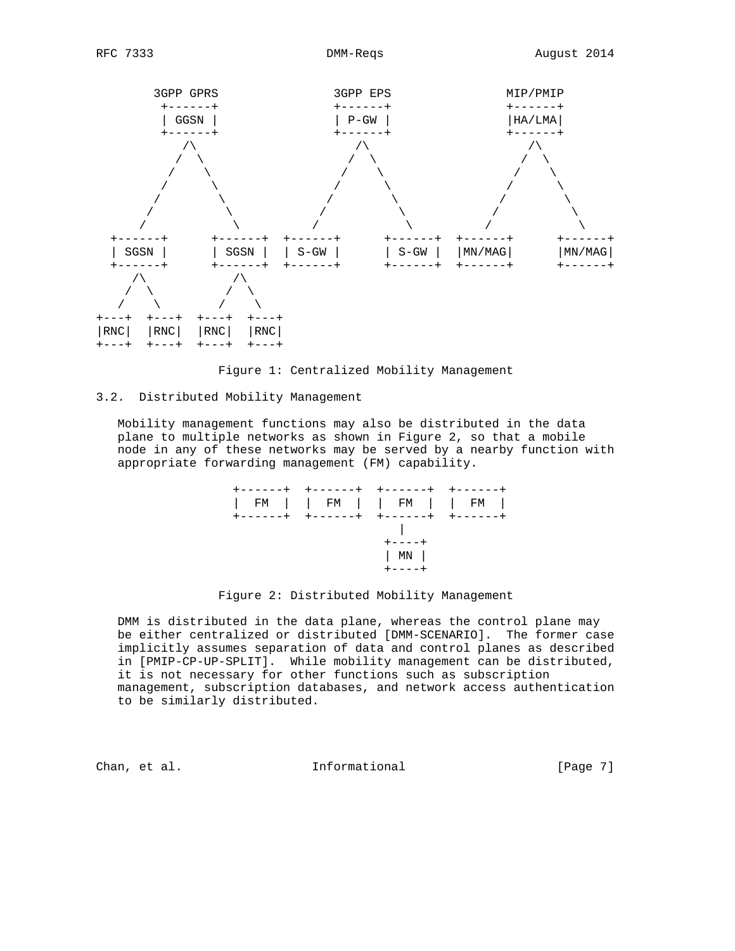

Figure 1: Centralized Mobility Management

# 3.2. Distributed Mobility Management

 Mobility management functions may also be distributed in the data plane to multiple networks as shown in Figure 2, so that a mobile node in any of these networks may be served by a nearby function with appropriate forwarding management (FM) capability.



Figure 2: Distributed Mobility Management

 DMM is distributed in the data plane, whereas the control plane may be either centralized or distributed [DMM-SCENARIO]. The former case implicitly assumes separation of data and control planes as described in [PMIP-CP-UP-SPLIT]. While mobility management can be distributed, it is not necessary for other functions such as subscription management, subscription databases, and network access authentication to be similarly distributed.

Chan, et al. Informational [Page 7]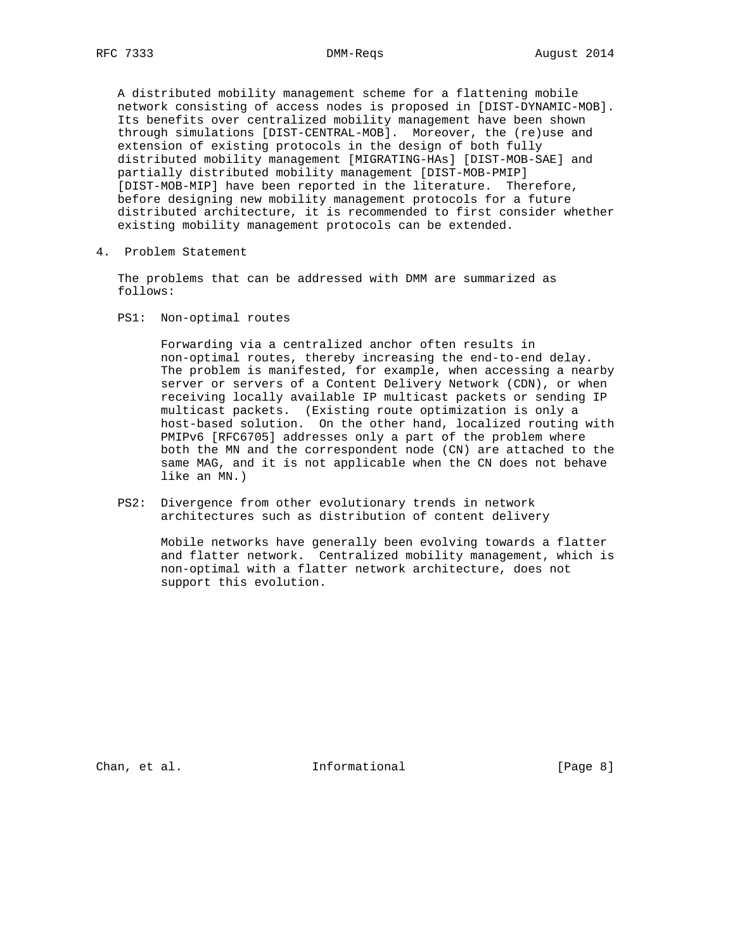A distributed mobility management scheme for a flattening mobile network consisting of access nodes is proposed in [DIST-DYNAMIC-MOB]. Its benefits over centralized mobility management have been shown through simulations [DIST-CENTRAL-MOB]. Moreover, the (re)use and extension of existing protocols in the design of both fully distributed mobility management [MIGRATING-HAs] [DIST-MOB-SAE] and partially distributed mobility management [DIST-MOB-PMIP] [DIST-MOB-MIP] have been reported in the literature. Therefore, before designing new mobility management protocols for a future distributed architecture, it is recommended to first consider whether existing mobility management protocols can be extended.

4. Problem Statement

 The problems that can be addressed with DMM are summarized as follows:

PS1: Non-optimal routes

 Forwarding via a centralized anchor often results in non-optimal routes, thereby increasing the end-to-end delay. The problem is manifested, for example, when accessing a nearby server or servers of a Content Delivery Network (CDN), or when receiving locally available IP multicast packets or sending IP multicast packets. (Existing route optimization is only a host-based solution. On the other hand, localized routing with PMIPv6 [RFC6705] addresses only a part of the problem where both the MN and the correspondent node (CN) are attached to the same MAG, and it is not applicable when the CN does not behave like an MN.)

 PS2: Divergence from other evolutionary trends in network architectures such as distribution of content delivery

 Mobile networks have generally been evolving towards a flatter and flatter network. Centralized mobility management, which is non-optimal with a flatter network architecture, does not support this evolution.

Chan, et al. 100 mm and 111 mm and 111 mm and 12 mm and 12 mm and 12 mm and 12 mm and 12 mm and 12 mm and 12 mm and 12 mm and 12 mm and 12 mm and 12 mm and 12 mm and 12 mm and 12 mm and 12 mm and 12 mm and 12 mm and 12 mm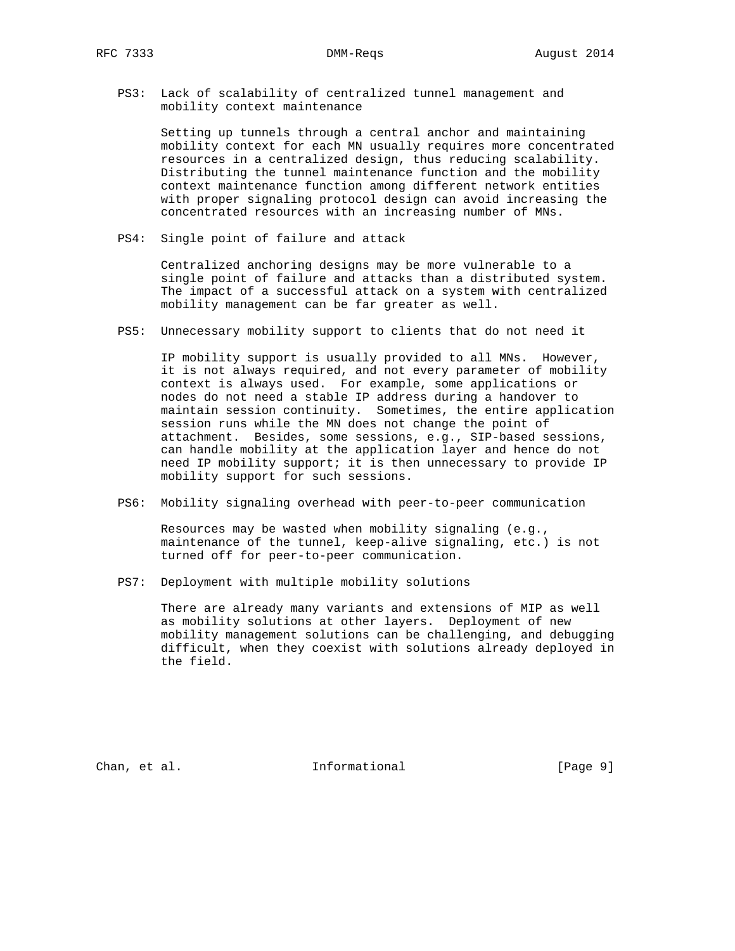PS3: Lack of scalability of centralized tunnel management and mobility context maintenance

 Setting up tunnels through a central anchor and maintaining mobility context for each MN usually requires more concentrated resources in a centralized design, thus reducing scalability. Distributing the tunnel maintenance function and the mobility context maintenance function among different network entities with proper signaling protocol design can avoid increasing the concentrated resources with an increasing number of MNs.

PS4: Single point of failure and attack

 Centralized anchoring designs may be more vulnerable to a single point of failure and attacks than a distributed system. The impact of a successful attack on a system with centralized mobility management can be far greater as well.

PS5: Unnecessary mobility support to clients that do not need it

 IP mobility support is usually provided to all MNs. However, it is not always required, and not every parameter of mobility context is always used. For example, some applications or nodes do not need a stable IP address during a handover to maintain session continuity. Sometimes, the entire application session runs while the MN does not change the point of attachment. Besides, some sessions, e.g., SIP-based sessions, can handle mobility at the application layer and hence do not need IP mobility support; it is then unnecessary to provide IP mobility support for such sessions.

PS6: Mobility signaling overhead with peer-to-peer communication

 Resources may be wasted when mobility signaling (e.g., maintenance of the tunnel, keep-alive signaling, etc.) is not turned off for peer-to-peer communication.

PS7: Deployment with multiple mobility solutions

 There are already many variants and extensions of MIP as well as mobility solutions at other layers. Deployment of new mobility management solutions can be challenging, and debugging difficult, when they coexist with solutions already deployed in the field.

Chan, et al. 100 mm and 111 mm and 111 mm and 101 mm and 101 mm and 101 mm and 101 mm and 101 mm and 101 mm and 101 mm and 101 mm and 101 mm and 101 mm and 101 mm and 101 mm and 101 mm and 101 mm and 101 mm and 101 mm and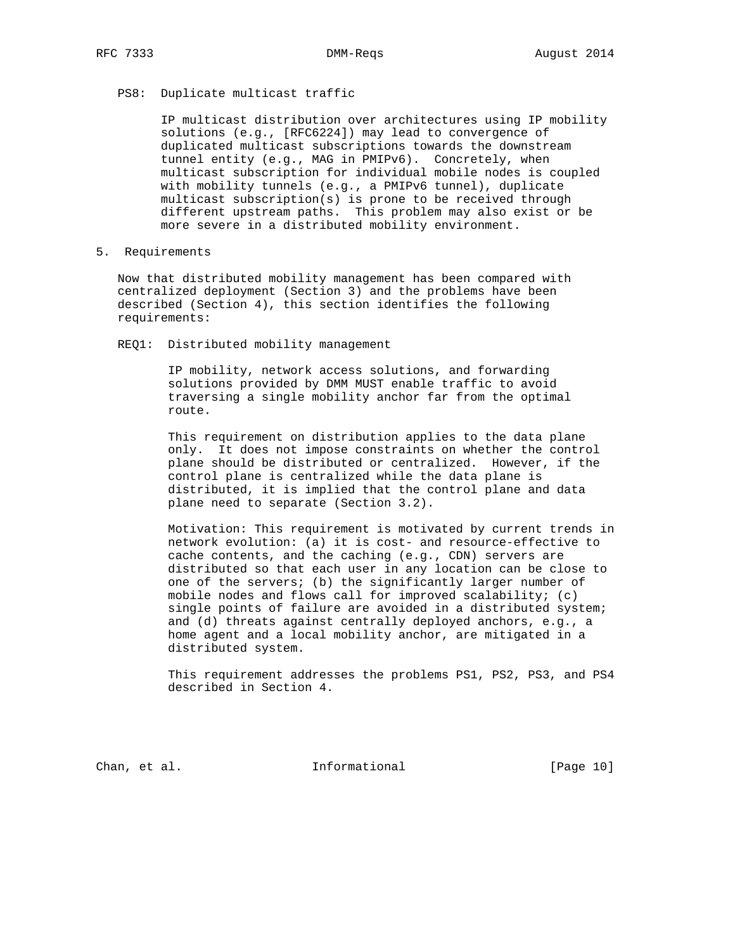# PS8: Duplicate multicast traffic

 IP multicast distribution over architectures using IP mobility solutions (e.g., [RFC6224]) may lead to convergence of duplicated multicast subscriptions towards the downstream tunnel entity (e.g., MAG in PMIPv6). Concretely, when multicast subscription for individual mobile nodes is coupled with mobility tunnels (e.g., a PMIPv6 tunnel), duplicate multicast subscription(s) is prone to be received through different upstream paths. This problem may also exist or be more severe in a distributed mobility environment.

5. Requirements

 Now that distributed mobility management has been compared with centralized deployment (Section 3) and the problems have been described (Section 4), this section identifies the following requirements:

REQ1: Distributed mobility management

 IP mobility, network access solutions, and forwarding solutions provided by DMM MUST enable traffic to avoid traversing a single mobility anchor far from the optimal route.

 This requirement on distribution applies to the data plane only. It does not impose constraints on whether the control plane should be distributed or centralized. However, if the control plane is centralized while the data plane is distributed, it is implied that the control plane and data plane need to separate (Section 3.2).

 Motivation: This requirement is motivated by current trends in network evolution: (a) it is cost- and resource-effective to cache contents, and the caching (e.g., CDN) servers are distributed so that each user in any location can be close to one of the servers; (b) the significantly larger number of mobile nodes and flows call for improved scalability; (c) single points of failure are avoided in a distributed system; and (d) threats against centrally deployed anchors, e.g., a home agent and a local mobility anchor, are mitigated in a distributed system.

 This requirement addresses the problems PS1, PS2, PS3, and PS4 described in Section 4.

Chan, et al. The Informational [Page 10]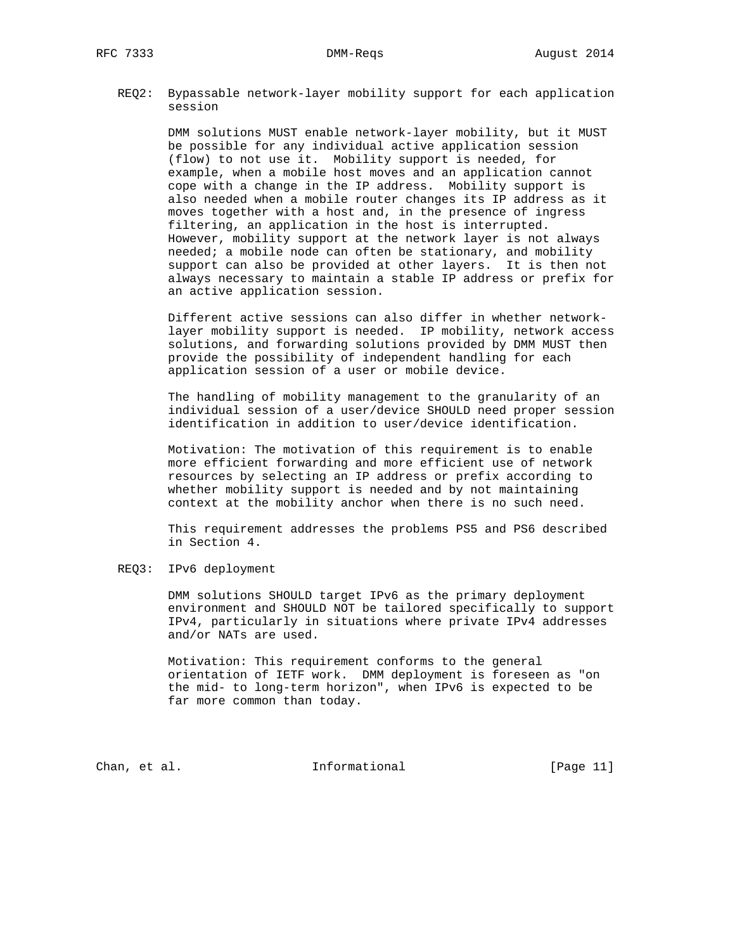REQ2: Bypassable network-layer mobility support for each application session

> DMM solutions MUST enable network-layer mobility, but it MUST be possible for any individual active application session (flow) to not use it. Mobility support is needed, for example, when a mobile host moves and an application cannot cope with a change in the IP address. Mobility support is also needed when a mobile router changes its IP address as it moves together with a host and, in the presence of ingress filtering, an application in the host is interrupted. However, mobility support at the network layer is not always needed; a mobile node can often be stationary, and mobility support can also be provided at other layers. It is then not always necessary to maintain a stable IP address or prefix for an active application session.

> Different active sessions can also differ in whether network layer mobility support is needed. IP mobility, network access solutions, and forwarding solutions provided by DMM MUST then provide the possibility of independent handling for each application session of a user or mobile device.

> The handling of mobility management to the granularity of an individual session of a user/device SHOULD need proper session identification in addition to user/device identification.

 Motivation: The motivation of this requirement is to enable more efficient forwarding and more efficient use of network resources by selecting an IP address or prefix according to whether mobility support is needed and by not maintaining context at the mobility anchor when there is no such need.

 This requirement addresses the problems PS5 and PS6 described in Section 4.

REQ3: IPv6 deployment

 DMM solutions SHOULD target IPv6 as the primary deployment environment and SHOULD NOT be tailored specifically to support IPv4, particularly in situations where private IPv4 addresses and/or NATs are used.

 Motivation: This requirement conforms to the general orientation of IETF work. DMM deployment is foreseen as "on the mid- to long-term horizon", when IPv6 is expected to be far more common than today.

Chan, et al. The Informational The IPage 11]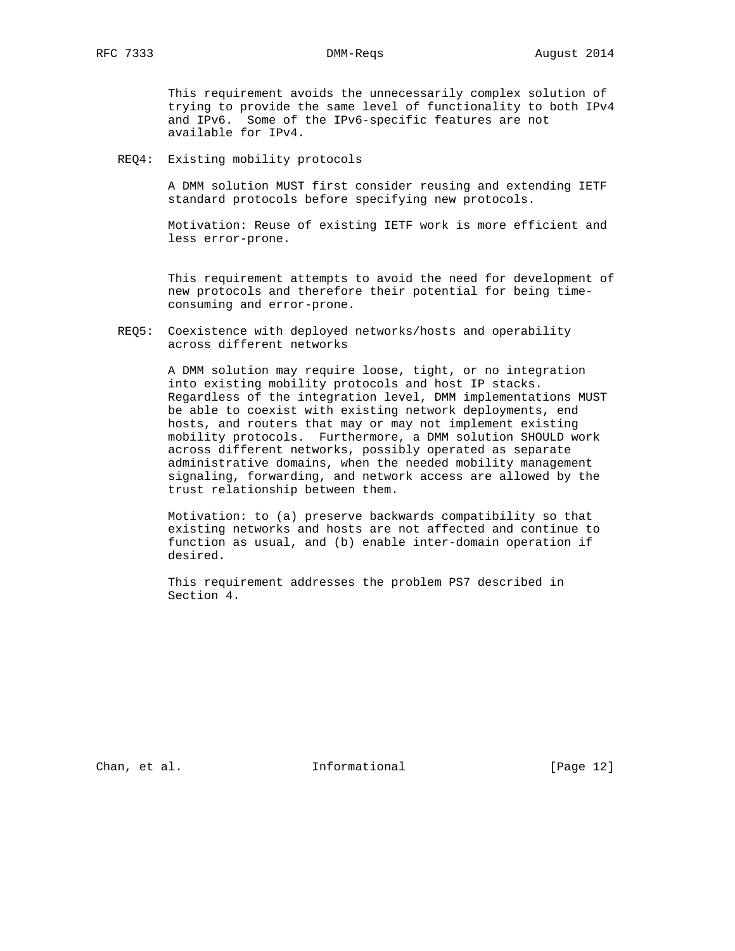This requirement avoids the unnecessarily complex solution of trying to provide the same level of functionality to both IPv4 and IPv6. Some of the IPv6-specific features are not available for IPv4.

REQ4: Existing mobility protocols

 A DMM solution MUST first consider reusing and extending IETF standard protocols before specifying new protocols.

 Motivation: Reuse of existing IETF work is more efficient and less error-prone.

 This requirement attempts to avoid the need for development of new protocols and therefore their potential for being time consuming and error-prone.

 REQ5: Coexistence with deployed networks/hosts and operability across different networks

> A DMM solution may require loose, tight, or no integration into existing mobility protocols and host IP stacks. Regardless of the integration level, DMM implementations MUST be able to coexist with existing network deployments, end hosts, and routers that may or may not implement existing mobility protocols. Furthermore, a DMM solution SHOULD work across different networks, possibly operated as separate administrative domains, when the needed mobility management signaling, forwarding, and network access are allowed by the trust relationship between them.

 Motivation: to (a) preserve backwards compatibility so that existing networks and hosts are not affected and continue to function as usual, and (b) enable inter-domain operation if desired.

 This requirement addresses the problem PS7 described in Section 4.

Chan, et al. The Informational [Page 12]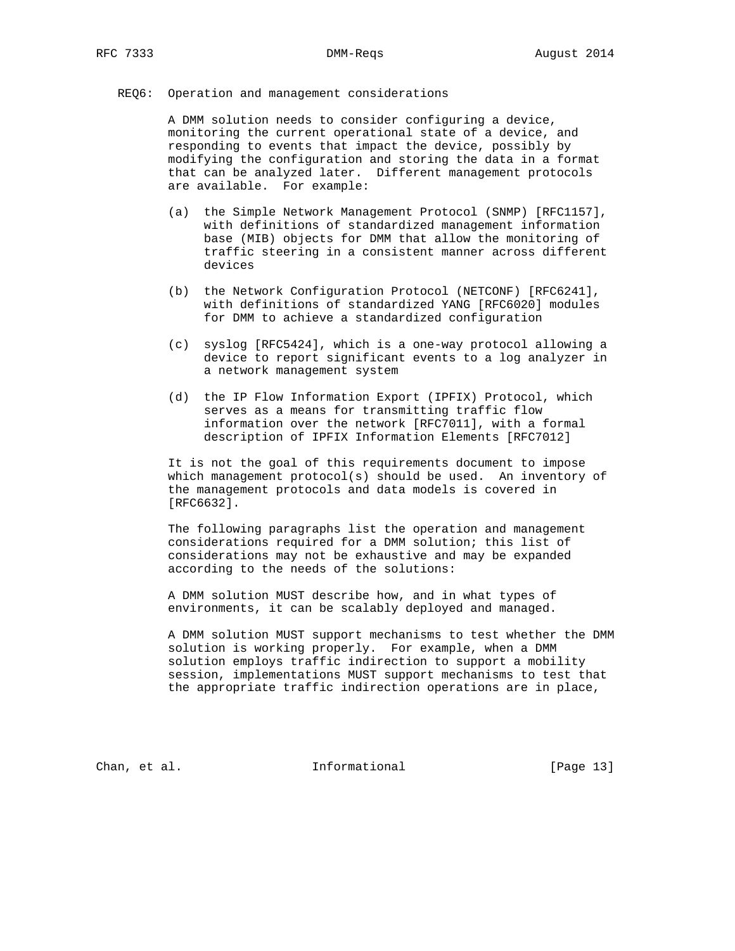## REQ6: Operation and management considerations

 A DMM solution needs to consider configuring a device, monitoring the current operational state of a device, and responding to events that impact the device, possibly by modifying the configuration and storing the data in a format that can be analyzed later. Different management protocols are available. For example:

- (a) the Simple Network Management Protocol (SNMP) [RFC1157], with definitions of standardized management information base (MIB) objects for DMM that allow the monitoring of traffic steering in a consistent manner across different devices
- (b) the Network Configuration Protocol (NETCONF) [RFC6241], with definitions of standardized YANG [RFC6020] modules for DMM to achieve a standardized configuration
- (c) syslog [RFC5424], which is a one-way protocol allowing a device to report significant events to a log analyzer in a network management system
- (d) the IP Flow Information Export (IPFIX) Protocol, which serves as a means for transmitting traffic flow information over the network [RFC7011], with a formal description of IPFIX Information Elements [RFC7012]

 It is not the goal of this requirements document to impose which management protocol(s) should be used. An inventory of the management protocols and data models is covered in [RFC6632].

 The following paragraphs list the operation and management considerations required for a DMM solution; this list of considerations may not be exhaustive and may be expanded according to the needs of the solutions:

 A DMM solution MUST describe how, and in what types of environments, it can be scalably deployed and managed.

 A DMM solution MUST support mechanisms to test whether the DMM solution is working properly. For example, when a DMM solution employs traffic indirection to support a mobility session, implementations MUST support mechanisms to test that the appropriate traffic indirection operations are in place,

Chan, et al. 100 mm informational [Page 13]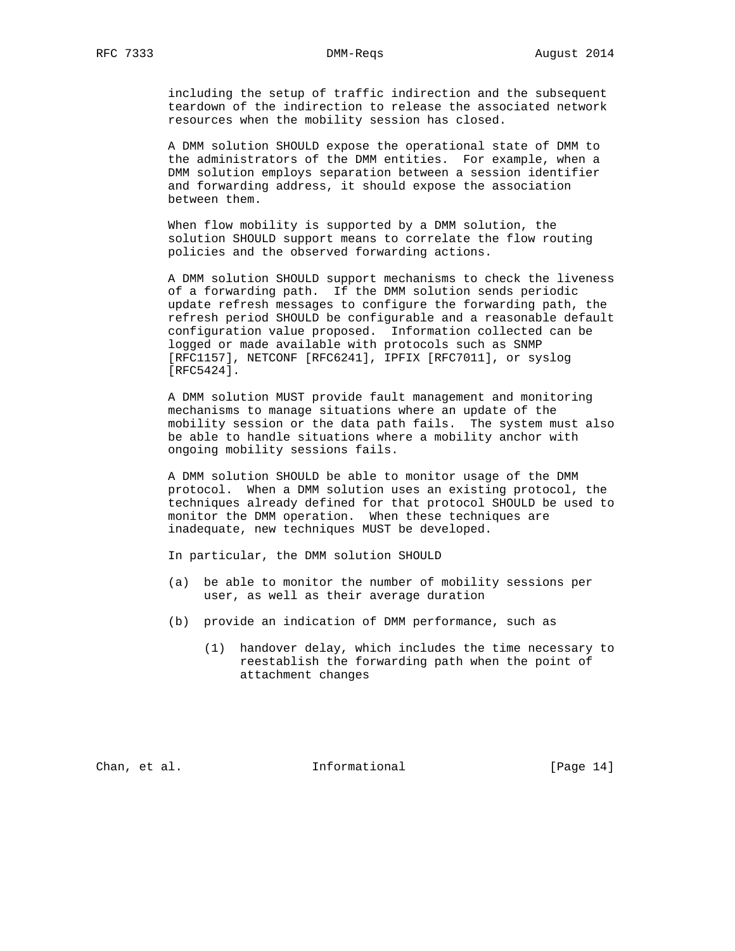including the setup of traffic indirection and the subsequent teardown of the indirection to release the associated network resources when the mobility session has closed.

 A DMM solution SHOULD expose the operational state of DMM to the administrators of the DMM entities. For example, when a DMM solution employs separation between a session identifier and forwarding address, it should expose the association between them.

 When flow mobility is supported by a DMM solution, the solution SHOULD support means to correlate the flow routing policies and the observed forwarding actions.

 A DMM solution SHOULD support mechanisms to check the liveness of a forwarding path. If the DMM solution sends periodic update refresh messages to configure the forwarding path, the refresh period SHOULD be configurable and a reasonable default configuration value proposed. Information collected can be logged or made available with protocols such as SNMP [RFC1157], NETCONF [RFC6241], IPFIX [RFC7011], or syslog [RFC5424].

 A DMM solution MUST provide fault management and monitoring mechanisms to manage situations where an update of the mobility session or the data path fails. The system must also be able to handle situations where a mobility anchor with ongoing mobility sessions fails.

 A DMM solution SHOULD be able to monitor usage of the DMM protocol. When a DMM solution uses an existing protocol, the techniques already defined for that protocol SHOULD be used to monitor the DMM operation. When these techniques are inadequate, new techniques MUST be developed.

In particular, the DMM solution SHOULD

- (a) be able to monitor the number of mobility sessions per user, as well as their average duration
- (b) provide an indication of DMM performance, such as
	- (1) handover delay, which includes the time necessary to reestablish the forwarding path when the point of attachment changes

Chan, et al. The Informational [Page 14]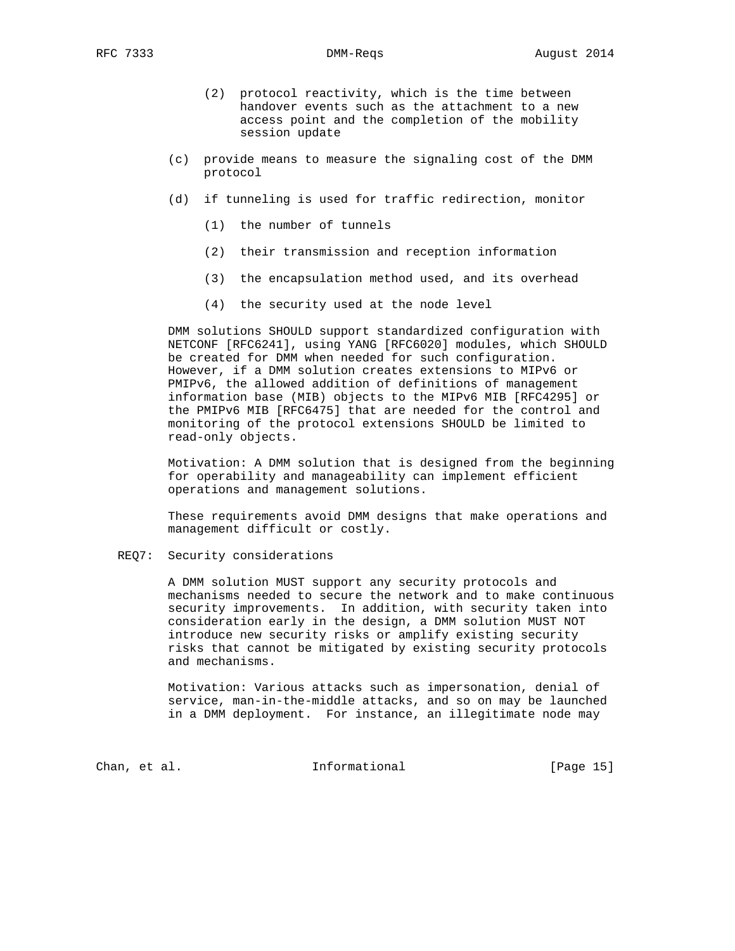- (2) protocol reactivity, which is the time between handover events such as the attachment to a new access point and the completion of the mobility session update
- (c) provide means to measure the signaling cost of the DMM protocol
- (d) if tunneling is used for traffic redirection, monitor
	- (1) the number of tunnels
	- (2) their transmission and reception information
	- (3) the encapsulation method used, and its overhead
	- (4) the security used at the node level

 DMM solutions SHOULD support standardized configuration with NETCONF [RFC6241], using YANG [RFC6020] modules, which SHOULD be created for DMM when needed for such configuration. However, if a DMM solution creates extensions to MIPv6 or PMIPv6, the allowed addition of definitions of management information base (MIB) objects to the MIPv6 MIB [RFC4295] or the PMIPv6 MIB [RFC6475] that are needed for the control and monitoring of the protocol extensions SHOULD be limited to read-only objects.

 Motivation: A DMM solution that is designed from the beginning for operability and manageability can implement efficient operations and management solutions.

 These requirements avoid DMM designs that make operations and management difficult or costly.

REQ7: Security considerations

 A DMM solution MUST support any security protocols and mechanisms needed to secure the network and to make continuous security improvements. In addition, with security taken into consideration early in the design, a DMM solution MUST NOT introduce new security risks or amplify existing security risks that cannot be mitigated by existing security protocols and mechanisms.

 Motivation: Various attacks such as impersonation, denial of service, man-in-the-middle attacks, and so on may be launched in a DMM deployment. For instance, an illegitimate node may

Chan, et al. Informational [Page 15]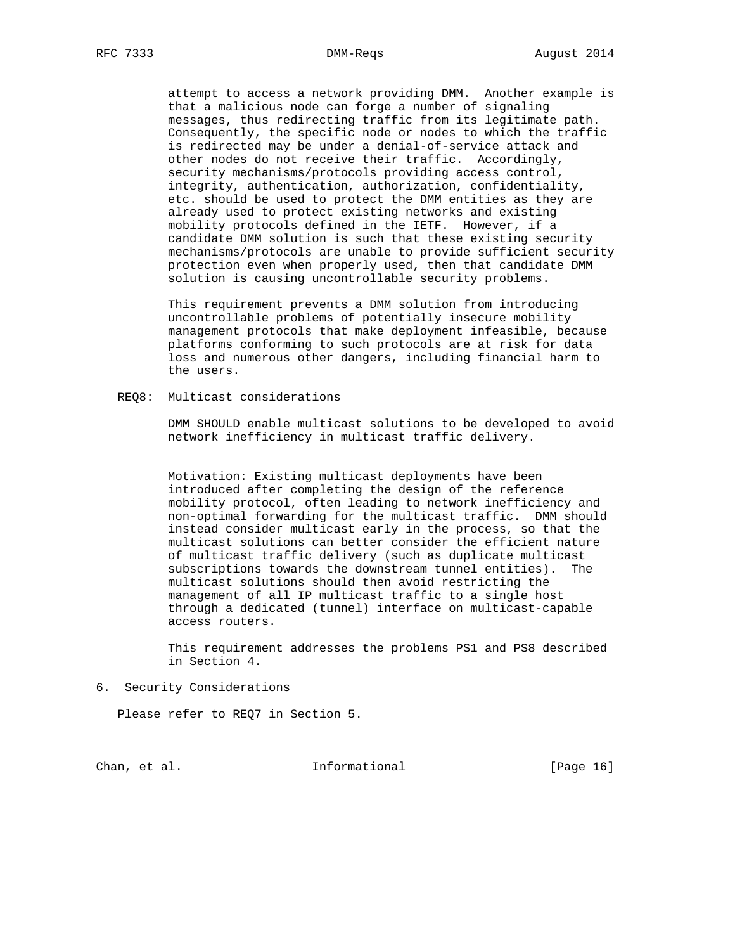attempt to access a network providing DMM. Another example is that a malicious node can forge a number of signaling messages, thus redirecting traffic from its legitimate path. Consequently, the specific node or nodes to which the traffic is redirected may be under a denial-of-service attack and other nodes do not receive their traffic. Accordingly, security mechanisms/protocols providing access control, integrity, authentication, authorization, confidentiality, etc. should be used to protect the DMM entities as they are already used to protect existing networks and existing mobility protocols defined in the IETF. However, if a candidate DMM solution is such that these existing security mechanisms/protocols are unable to provide sufficient security protection even when properly used, then that candidate DMM solution is causing uncontrollable security problems.

 This requirement prevents a DMM solution from introducing uncontrollable problems of potentially insecure mobility management protocols that make deployment infeasible, because platforms conforming to such protocols are at risk for data loss and numerous other dangers, including financial harm to the users.

REQ8: Multicast considerations

 DMM SHOULD enable multicast solutions to be developed to avoid network inefficiency in multicast traffic delivery.

 Motivation: Existing multicast deployments have been introduced after completing the design of the reference mobility protocol, often leading to network inefficiency and non-optimal forwarding for the multicast traffic. DMM should instead consider multicast early in the process, so that the multicast solutions can better consider the efficient nature of multicast traffic delivery (such as duplicate multicast subscriptions towards the downstream tunnel entities). The multicast solutions should then avoid restricting the management of all IP multicast traffic to a single host through a dedicated (tunnel) interface on multicast-capable access routers.

 This requirement addresses the problems PS1 and PS8 described in Section 4.

6. Security Considerations

Please refer to REQ7 in Section 5.

Chan, et al. 100 mm informational [Page 16]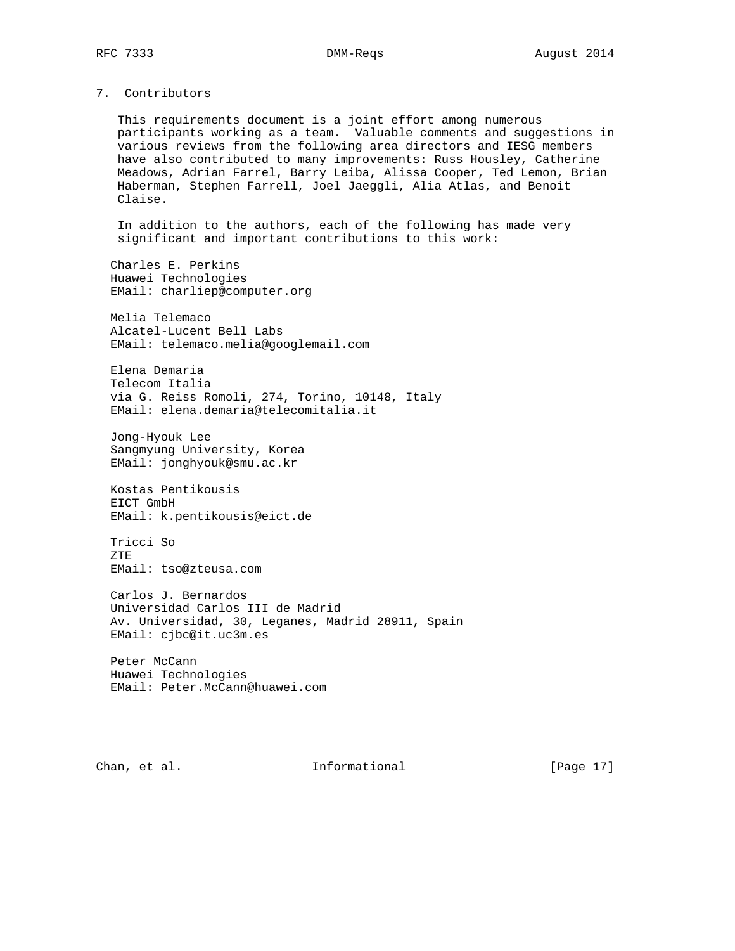# 7. Contributors

 This requirements document is a joint effort among numerous participants working as a team. Valuable comments and suggestions in various reviews from the following area directors and IESG members have also contributed to many improvements: Russ Housley, Catherine Meadows, Adrian Farrel, Barry Leiba, Alissa Cooper, Ted Lemon, Brian Haberman, Stephen Farrell, Joel Jaeggli, Alia Atlas, and Benoit Claise.

 In addition to the authors, each of the following has made very significant and important contributions to this work:

 Charles E. Perkins Huawei Technologies EMail: charliep@computer.org

 Melia Telemaco Alcatel-Lucent Bell Labs EMail: telemaco.melia@googlemail.com

 Elena Demaria Telecom Italia via G. Reiss Romoli, 274, Torino, 10148, Italy EMail: elena.demaria@telecomitalia.it

 Jong-Hyouk Lee Sangmyung University, Korea EMail: jonghyouk@smu.ac.kr

 Kostas Pentikousis EICT GmbH EMail: k.pentikousis@eict.de

 Tricci So ZTE EMail: tso@zteusa.com

 Carlos J. Bernardos Universidad Carlos III de Madrid Av. Universidad, 30, Leganes, Madrid 28911, Spain EMail: cjbc@it.uc3m.es

 Peter McCann Huawei Technologies EMail: Peter.McCann@huawei.com

Chan, et al. 100 mm informational [Page 17]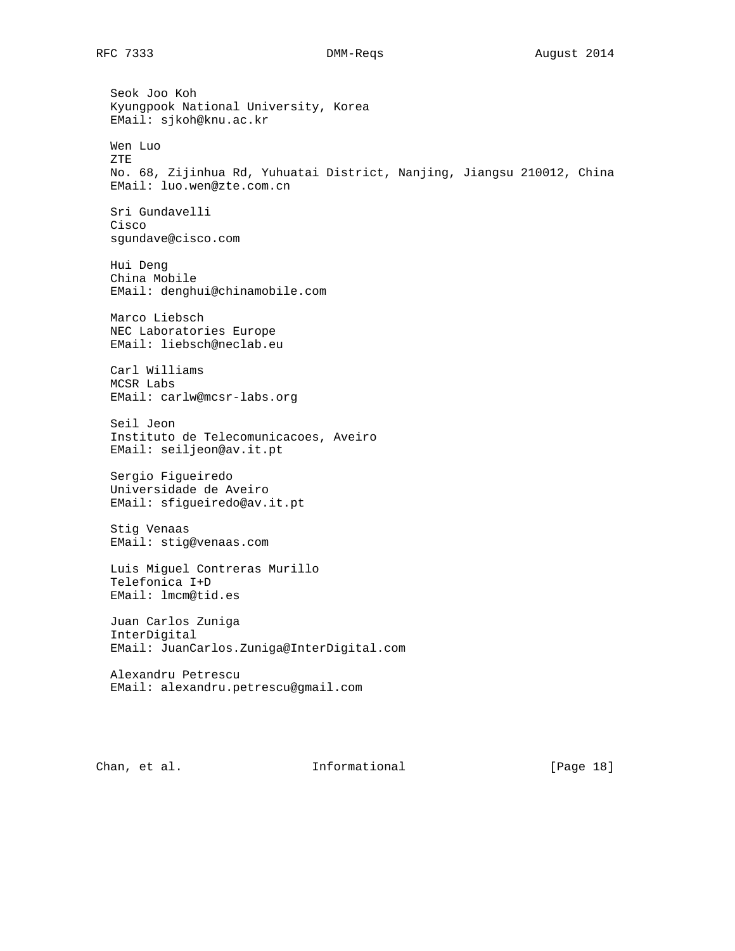Seok Joo Koh Kyungpook National University, Korea EMail: sjkoh@knu.ac.kr Wen Luo ZTE No. 68, Zijinhua Rd, Yuhuatai District, Nanjing, Jiangsu 210012, China EMail: luo.wen@zte.com.cn Sri Gundavelli Cisco sgundave@cisco.com Hui Deng China Mobile EMail: denghui@chinamobile.com Marco Liebsch NEC Laboratories Europe EMail: liebsch@neclab.eu Carl Williams MCSR Labs EMail: carlw@mcsr-labs.org Seil Jeon Instituto de Telecomunicacoes, Aveiro EMail: seiljeon@av.it.pt Sergio Figueiredo Universidade de Aveiro EMail: sfigueiredo@av.it.pt Stig Venaas EMail: stig@venaas.com Luis Miguel Contreras Murillo Telefonica I+D EMail: lmcm@tid.es Juan Carlos Zuniga InterDigital EMail: JuanCarlos.Zuniga@InterDigital.com Alexandru Petrescu EMail: alexandru.petrescu@gmail.com

Chan, et al. 100 mm informational [Page 18]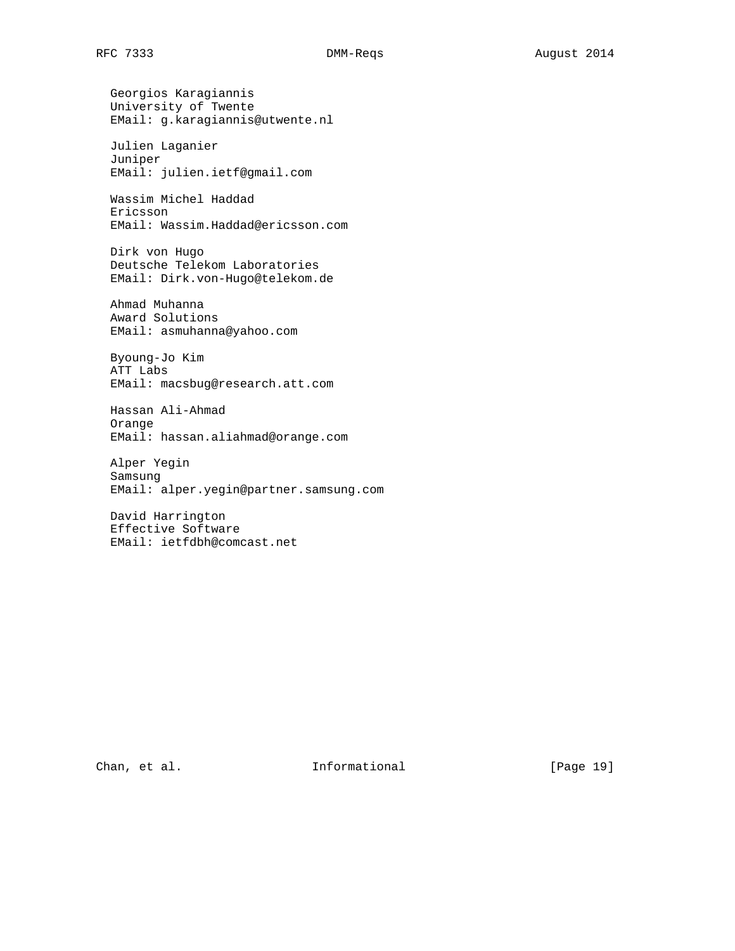Georgios Karagiannis University of Twente EMail: g.karagiannis@utwente.nl Julien Laganier Juniper EMail: julien.ietf@gmail.com Wassim Michel Haddad Ericsson EMail: Wassim.Haddad@ericsson.com Dirk von Hugo Deutsche Telekom Laboratories EMail: Dirk.von-Hugo@telekom.de Ahmad Muhanna Award Solutions EMail: asmuhanna@yahoo.com Byoung-Jo Kim ATT Labs EMail: macsbug@research.att.com Hassan Ali-Ahmad Orange EMail: hassan.aliahmad@orange.com Alper Yegin Samsung EMail: alper.yegin@partner.samsung.com David Harrington Effective Software EMail: ietfdbh@comcast.net

Chan, et al. 10 1nformational [Page 19]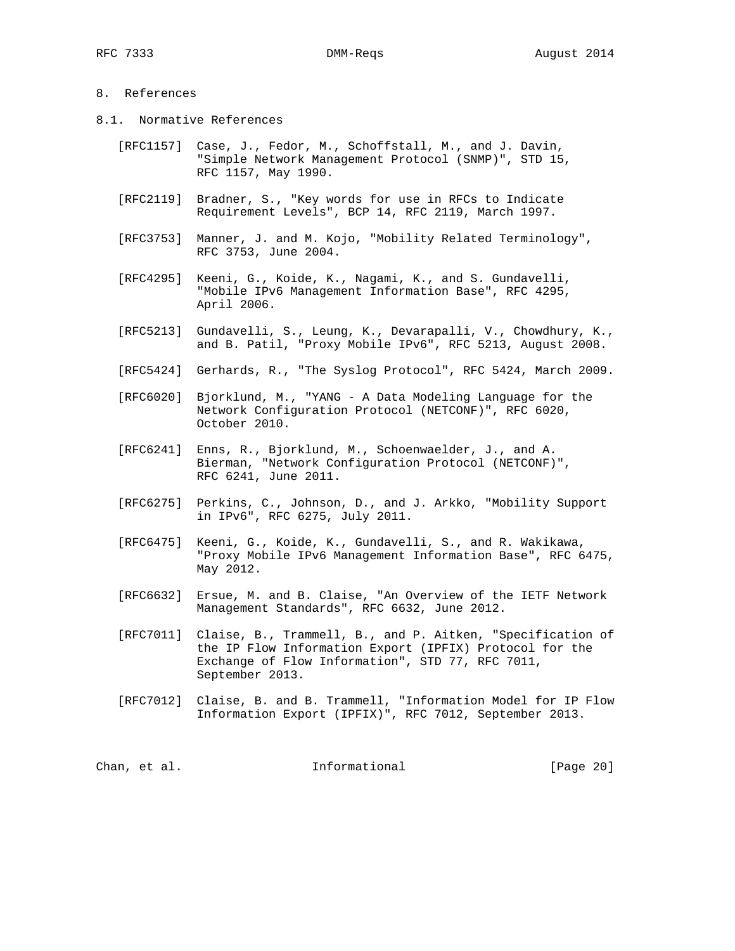# 8. References

- 8.1. Normative References
	- [RFC1157] Case, J., Fedor, M., Schoffstall, M., and J. Davin, "Simple Network Management Protocol (SNMP)", STD 15, RFC 1157, May 1990.
	- [RFC2119] Bradner, S., "Key words for use in RFCs to Indicate Requirement Levels", BCP 14, RFC 2119, March 1997.
	- [RFC3753] Manner, J. and M. Kojo, "Mobility Related Terminology", RFC 3753, June 2004.
	- [RFC4295] Keeni, G., Koide, K., Nagami, K., and S. Gundavelli, "Mobile IPv6 Management Information Base", RFC 4295, April 2006.
	- [RFC5213] Gundavelli, S., Leung, K., Devarapalli, V., Chowdhury, K., and B. Patil, "Proxy Mobile IPv6", RFC 5213, August 2008.
	- [RFC5424] Gerhards, R., "The Syslog Protocol", RFC 5424, March 2009.
	- [RFC6020] Bjorklund, M., "YANG A Data Modeling Language for the Network Configuration Protocol (NETCONF)", RFC 6020, October 2010.
	- [RFC6241] Enns, R., Bjorklund, M., Schoenwaelder, J., and A. Bierman, "Network Configuration Protocol (NETCONF)", RFC 6241, June 2011.
	- [RFC6275] Perkins, C., Johnson, D., and J. Arkko, "Mobility Support in IPv6", RFC 6275, July 2011.
	- [RFC6475] Keeni, G., Koide, K., Gundavelli, S., and R. Wakikawa, "Proxy Mobile IPv6 Management Information Base", RFC 6475, May 2012.
	- [RFC6632] Ersue, M. and B. Claise, "An Overview of the IETF Network Management Standards", RFC 6632, June 2012.
	- [RFC7011] Claise, B., Trammell, B., and P. Aitken, "Specification of the IP Flow Information Export (IPFIX) Protocol for the Exchange of Flow Information", STD 77, RFC 7011, September 2013.
	- [RFC7012] Claise, B. and B. Trammell, "Information Model for IP Flow Information Export (IPFIX)", RFC 7012, September 2013.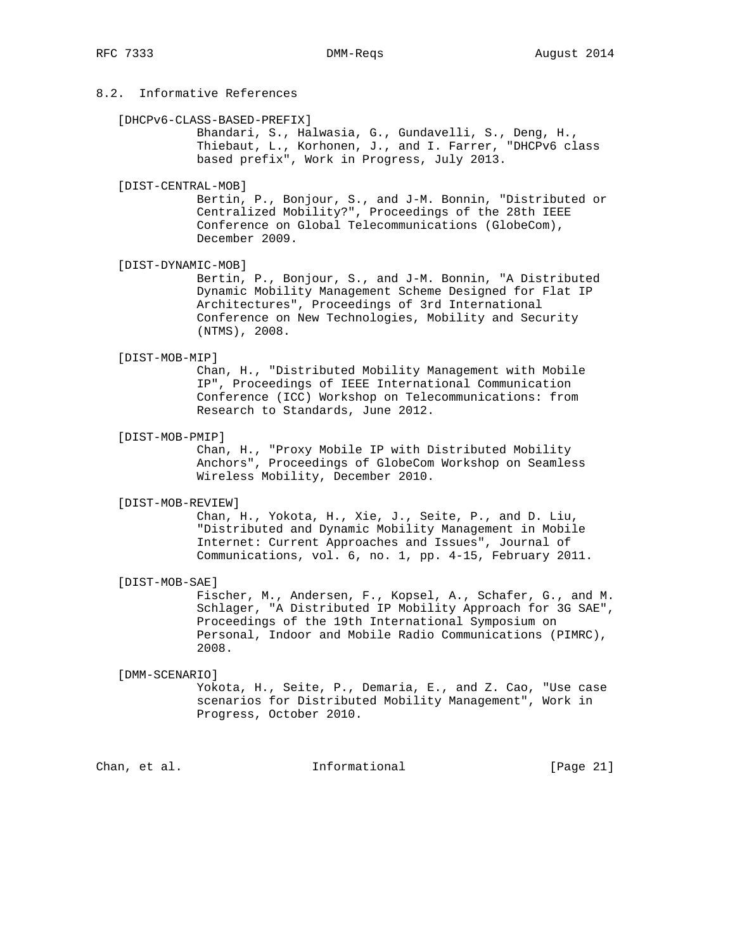# 8.2. Informative References

#### [DHCPv6-CLASS-BASED-PREFIX]

 Bhandari, S., Halwasia, G., Gundavelli, S., Deng, H., Thiebaut, L., Korhonen, J., and I. Farrer, "DHCPv6 class based prefix", Work in Progress, July 2013.

#### [DIST-CENTRAL-MOB]

 Bertin, P., Bonjour, S., and J-M. Bonnin, "Distributed or Centralized Mobility?", Proceedings of the 28th IEEE Conference on Global Telecommunications (GlobeCom), December 2009.

### [DIST-DYNAMIC-MOB]

 Bertin, P., Bonjour, S., and J-M. Bonnin, "A Distributed Dynamic Mobility Management Scheme Designed for Flat IP Architectures", Proceedings of 3rd International Conference on New Technologies, Mobility and Security (NTMS), 2008.

## [DIST-MOB-MIP]

 Chan, H., "Distributed Mobility Management with Mobile IP", Proceedings of IEEE International Communication Conference (ICC) Workshop on Telecommunications: from Research to Standards, June 2012.

## [DIST-MOB-PMIP]

 Chan, H., "Proxy Mobile IP with Distributed Mobility Anchors", Proceedings of GlobeCom Workshop on Seamless Wireless Mobility, December 2010.

#### [DIST-MOB-REVIEW]

 Chan, H., Yokota, H., Xie, J., Seite, P., and D. Liu, "Distributed and Dynamic Mobility Management in Mobile Internet: Current Approaches and Issues", Journal of Communications, vol. 6, no. 1, pp. 4-15, February 2011.

### [DIST-MOB-SAE]

 Fischer, M., Andersen, F., Kopsel, A., Schafer, G., and M. Schlager, "A Distributed IP Mobility Approach for 3G SAE", Proceedings of the 19th International Symposium on Personal, Indoor and Mobile Radio Communications (PIMRC), 2008.

## [DMM-SCENARIO]

 Yokota, H., Seite, P., Demaria, E., and Z. Cao, "Use case scenarios for Distributed Mobility Management", Work in Progress, October 2010.

Chan, et al. 100 mm informational [Page 21]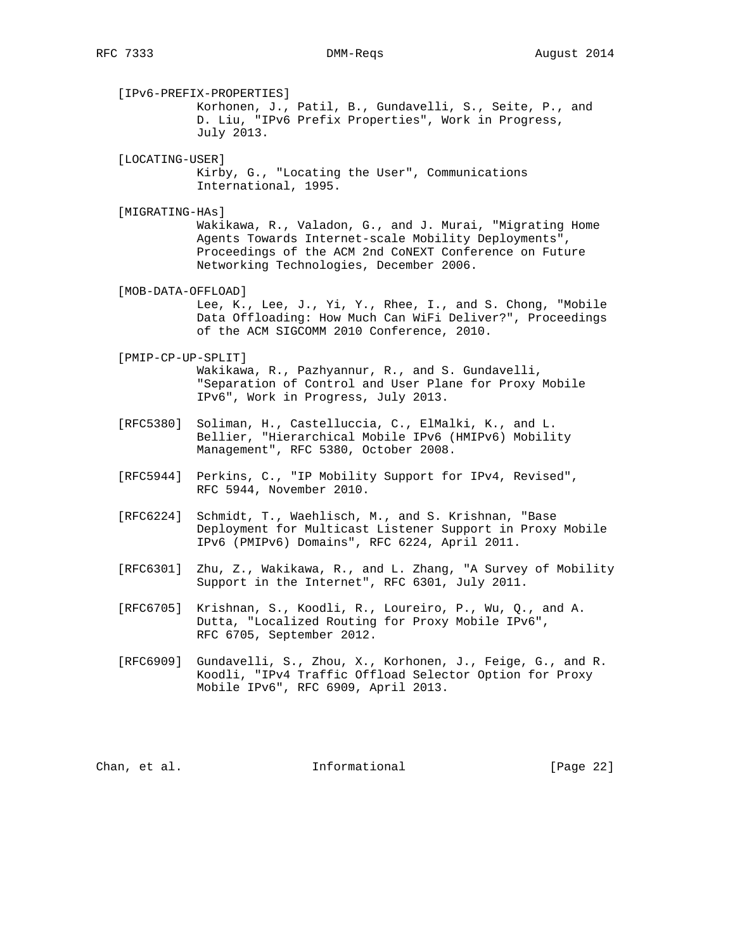[IPv6-PREFIX-PROPERTIES] Korhonen, J., Patil, B., Gundavelli, S., Seite, P., and D. Liu, "IPv6 Prefix Properties", Work in Progress, July 2013. [LOCATING-USER] Kirby, G., "Locating the User", Communications International, 1995. [MIGRATING-HAs] Wakikawa, R., Valadon, G., and J. Murai, "Migrating Home Agents Towards Internet-scale Mobility Deployments", Proceedings of the ACM 2nd CoNEXT Conference on Future Networking Technologies, December 2006. [MOB-DATA-OFFLOAD] Lee, K., Lee, J., Yi, Y., Rhee, I., and S. Chong, "Mobile Data Offloading: How Much Can WiFi Deliver?", Proceedings of the ACM SIGCOMM 2010 Conference, 2010.

# [PMIP-CP-UP-SPLIT] Wakikawa, R., Pazhyannur, R., and S. Gundavelli, "Separation of Control and User Plane for Proxy Mobile IPv6", Work in Progress, July 2013.

- [RFC5380] Soliman, H., Castelluccia, C., ElMalki, K., and L. Bellier, "Hierarchical Mobile IPv6 (HMIPv6) Mobility Management", RFC 5380, October 2008.
- [RFC5944] Perkins, C., "IP Mobility Support for IPv4, Revised", RFC 5944, November 2010.
- [RFC6224] Schmidt, T., Waehlisch, M., and S. Krishnan, "Base Deployment for Multicast Listener Support in Proxy Mobile IPv6 (PMIPv6) Domains", RFC 6224, April 2011.
- [RFC6301] Zhu, Z., Wakikawa, R., and L. Zhang, "A Survey of Mobility Support in the Internet", RFC 6301, July 2011.
- [RFC6705] Krishnan, S., Koodli, R., Loureiro, P., Wu, Q., and A. Dutta, "Localized Routing for Proxy Mobile IPv6", RFC 6705, September 2012.
- [RFC6909] Gundavelli, S., Zhou, X., Korhonen, J., Feige, G., and R. Koodli, "IPv4 Traffic Offload Selector Option for Proxy Mobile IPv6", RFC 6909, April 2013.

Chan, et al. 100 mm informational [Page 22]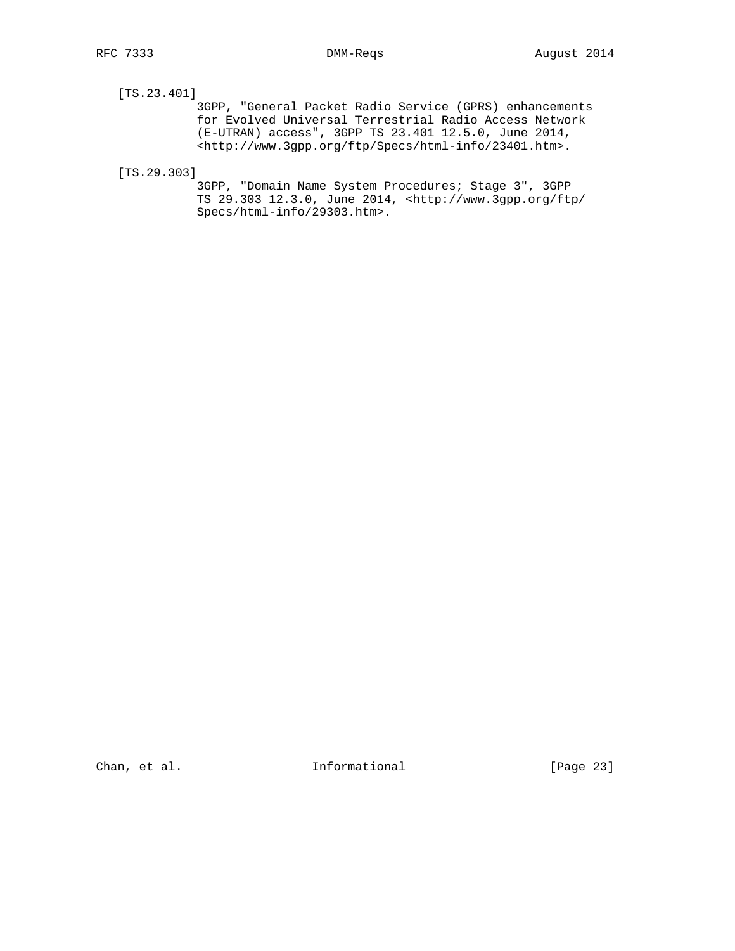# [TS.23.401]

 3GPP, "General Packet Radio Service (GPRS) enhancements for Evolved Universal Terrestrial Radio Access Network (E-UTRAN) access", 3GPP TS 23.401 12.5.0, June 2014, <http://www.3gpp.org/ftp/Specs/html-info/23401.htm>.

[TS.29.303]

 3GPP, "Domain Name System Procedures; Stage 3", 3GPP TS 29.303 12.3.0, June 2014, <http://www.3gpp.org/ftp/ Specs/html-info/29303.htm>.

Chan, et al. 100 Informational [Page 23]